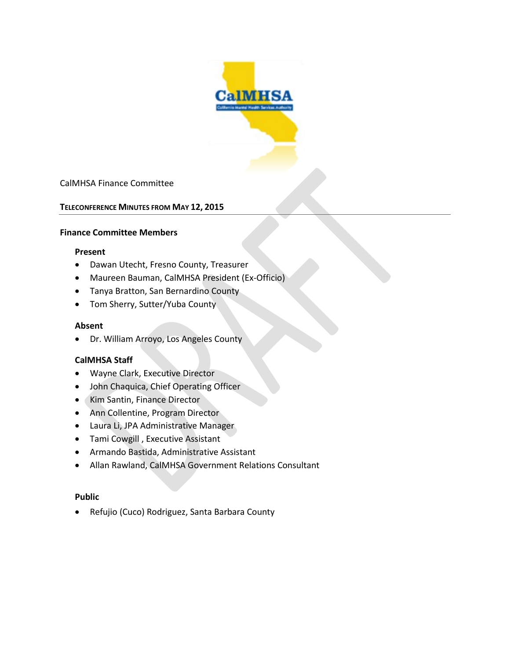

## CalMHSA Finance Committee

### **TELECONFERENCE MINUTES FROM MAY 12, 2015**

#### **Finance Committee Members**

#### **Present**

- Dawan Utecht, Fresno County, Treasurer
- Maureen Bauman, CalMHSA President (Ex-Officio)
- Tanya Bratton, San Bernardino County
- Tom Sherry, Sutter/Yuba County

#### **Absent**

• Dr. William Arroyo, Los Angeles County

### **CalMHSA Staff**

- Wayne Clark, Executive Director
- John Chaquica, Chief Operating Officer
- Kim Santin, Finance Director
- Ann Collentine, Program Director
- Laura Li, JPA Administrative Manager
- Tami Cowgill , Executive Assistant
- Armando Bastida, Administrative Assistant
- Allan Rawland, CalMHSA Government Relations Consultant

### **Public**

• Refujio (Cuco) Rodriguez, Santa Barbara County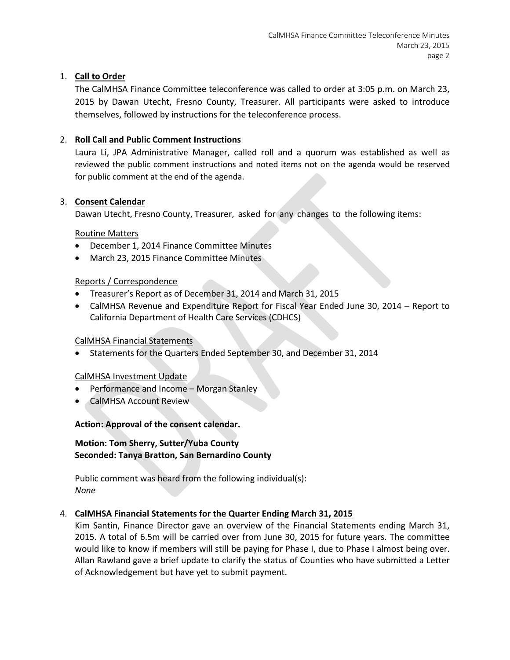# 1. **Call to Order**

The CalMHSA Finance Committee teleconference was called to order at 3:05 p.m. on March 23, 2015 by Dawan Utecht, Fresno County, Treasurer. All participants were asked to introduce themselves, followed by instructions for the teleconference process.

# 2. **Roll Call and Public Comment Instructions**

Laura Li, JPA Administrative Manager, called roll and a quorum was established as well as reviewed the public comment instructions and noted items not on the agenda would be reserved for public comment at the end of the agenda.

# 3. **Consent Calendar**

Dawan Utecht, Fresno County, Treasurer, asked for any changes to the following items:

## Routine Matters

- December 1, 2014 Finance Committee Minutes
- March 23, 2015 Finance Committee Minutes

# Reports / Correspondence

- Treasurer's Report as of December 31, 2014 and March 31, 2015
- CalMHSA Revenue and Expenditure Report for Fiscal Year Ended June 30, 2014 Report to California Department of Health Care Services (CDHCS)

## CalMHSA Financial Statements

• Statements for the Quarters Ended September 30, and December 31, 2014

## CalMHSA Investment Update

- Performance and Income Morgan Stanley
- CalMHSA Account Review

# **Action: Approval of the consent calendar.**

### **Motion: Tom Sherry, Sutter/Yuba County Seconded: Tanya Bratton, San Bernardino County**

Public comment was heard from the following individual(s): *None*

## 4. **CalMHSA Financial Statements for the Quarter Ending March 31, 2015**

Kim Santin, Finance Director gave an overview of the Financial Statements ending March 31, 2015. A total of 6.5m will be carried over from June 30, 2015 for future years. The committee would like to know if members will still be paying for Phase I, due to Phase I almost being over. Allan Rawland gave a brief update to clarify the status of Counties who have submitted a Letter of Acknowledgement but have yet to submit payment.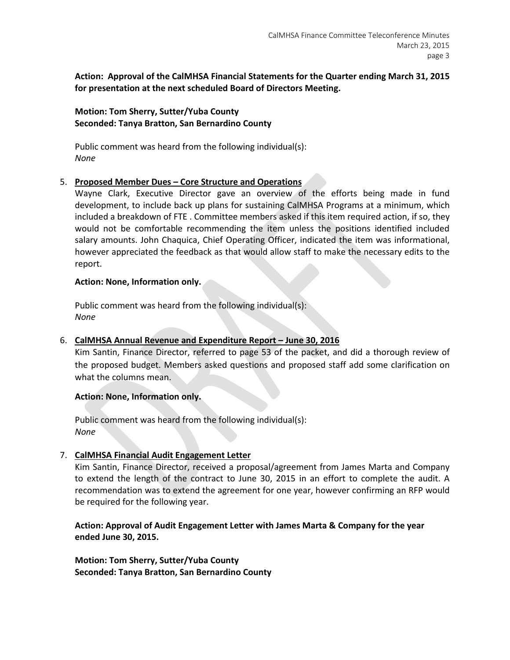# **Action: Approval of the CalMHSA Financial Statements for the Quarter ending March 31, 2015 for presentation at the next scheduled Board of Directors Meeting.**

## **Motion: Tom Sherry, Sutter/Yuba County Seconded: Tanya Bratton, San Bernardino County**

Public comment was heard from the following individual(s): *None*

## 5. **Proposed Member Dues – Core Structure and Operations**

Wayne Clark, Executive Director gave an overview of the efforts being made in fund development, to include back up plans for sustaining CalMHSA Programs at a minimum, which included a breakdown of FTE . Committee members asked if this item required action, if so, they would not be comfortable recommending the item unless the positions identified included salary amounts. John Chaquica, Chief Operating Officer, indicated the item was informational, however appreciated the feedback as that would allow staff to make the necessary edits to the report.

### **Action: None, Information only.**

Public comment was heard from the following individual(s): *None*

## 6. **CalMHSA Annual Revenue and Expenditure Report – June 30, 2016**

Kim Santin, Finance Director, referred to page 53 of the packet, and did a thorough review of the proposed budget. Members asked questions and proposed staff add some clarification on what the columns mean.

## **Action: None, Information only.**

Public comment was heard from the following individual(s): *None*

## 7. **CalMHSA Financial Audit Engagement Letter**

Kim Santin, Finance Director, received a proposal/agreement from James Marta and Company to extend the length of the contract to June 30, 2015 in an effort to complete the audit. A recommendation was to extend the agreement for one year, however confirming an RFP would be required for the following year.

**Action: Approval of Audit Engagement Letter with James Marta & Company for the year ended June 30, 2015.**

**Motion: Tom Sherry, Sutter/Yuba County Seconded: Tanya Bratton, San Bernardino County**